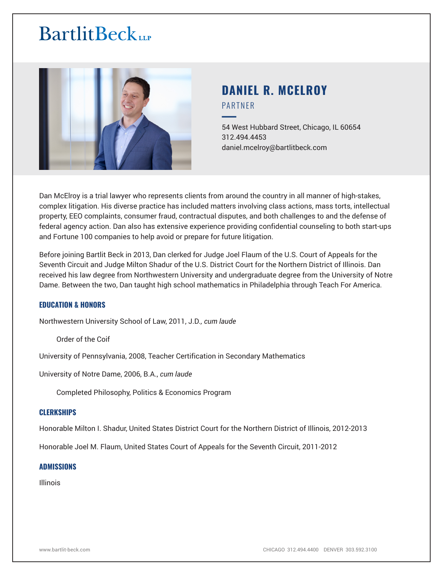# **BartlitBeck**



# **DANIEL R. MCELROY** PARTNER

54 West Hubbard Street, Chicago, IL 60654 312.494.4453 daniel.mcelroy@bartlitbeck.com

Dan McElroy is a trial lawyer who represents clients from around the country in all manner of high-stakes, complex litigation. His diverse practice has included matters involving class actions, mass torts, intellectual property, EEO complaints, consumer fraud, contractual disputes, and both challenges to and the defense of federal agency action. Dan also has extensive experience providing confidential counseling to both start-ups and Fortune 100 companies to help avoid or prepare for future litigation.

Before joining Bartlit Beck in 2013, Dan clerked for Judge Joel Flaum of the U.S. Court of Appeals for the Seventh Circuit and Judge Milton Shadur of the U.S. District Court for the Northern District of Illinois. Dan received his law degree from Northwestern University and undergraduate degree from the University of Notre Dame. Between the two, Dan taught high school mathematics in Philadelphia through Teach For America.

### **EDUCATION & HONORS**

Northwestern University School of Law, 2011, J.D*., cum laude* 

Order of the Coif

University of Pennsylvania, 2008, Teacher Certification in Secondary Mathematics

University of Notre Dame, 2006, B.A., *cum laude*

Completed Philosophy, Politics & Economics Program

### **CLERKSHIPS**

Honorable Milton I. Shadur, United States District Court for the Northern District of Illinois, 2012-2013

Honorable Joel M. Flaum, United States Court of Appeals for the Seventh Circuit, 2011-2012

### **ADMISSIONS**

Illinois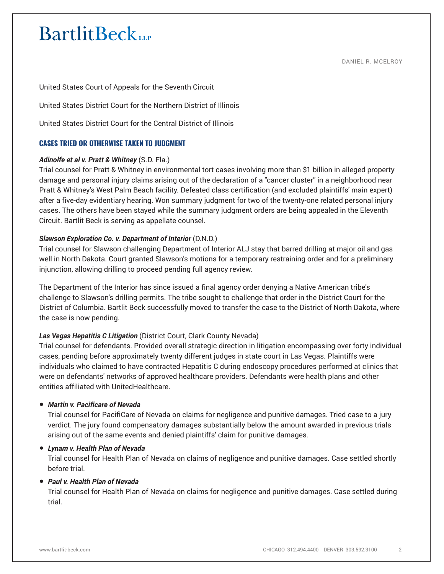# **BartlitBeck**

DANIEL R. MCELROY

United States Court of Appeals for the Seventh Circuit

United States District Court for the Northern District of Illinois

United States District Court for the Central District of Illinois

## **CASES TRIED OR OTHERWISE TAKEN TO JUDGMENT**

### *Adinolfe et al v. Pratt & Whitney* (S.D. Fla.)

Trial counsel for Pratt & Whitney in environmental tort cases involving more than \$1 billion in alleged property damage and personal injury claims arising out of the declaration of a "cancer cluster" in a neighborhood near Pratt & Whitney's West Palm Beach facility. Defeated class certification (and excluded plaintiffs' main expert) after a five-day evidentiary hearing. Won summary judgment for two of the twenty-one related personal injury cases. The others have been stayed while the summary judgment orders are being appealed in the Eleventh Circuit. Bartlit Beck is serving as appellate counsel.

### **Slawson Exploration Co. v. Department of Interior (D.N.D.)**

Trial counsel for Slawson challenging Department of Interior ALJ stay that barred drilling at major oil and gas well in North Dakota. Court granted Slawson's motions for a temporary restraining order and for a preliminary injunction, allowing drilling to proceed pending full agency review.

The Department of the Interior has since issued a final agency order denying a Native American tribe's challenge to Slawson's drilling permits. The tribe sought to challenge that order in the District Court for the District of Columbia. Bartlit Beck successfully moved to transfer the case to the District of North Dakota, where the case is now pending.

### *Las Vegas Hepatitis C Litigation* (District Court, Clark County Nevada)

Trial counsel for defendants. Provided overall strategic direction in litigation encompassing over forty individual cases, pending before approximately twenty different judges in state court in Las Vegas. Plaintiffs were individuals who claimed to have contracted Hepatitis C during endoscopy procedures performed at clinics that were on defendants' networks of approved healthcare providers. Defendants were health plans and other entities affiliated with UnitedHealthcare.

### ● *Martin v. Pacificare of Nevada*

Trial counsel for PacifiCare of Nevada on claims for negligence and punitive damages. Tried case to a jury verdict. The jury found compensatory damages substantially below the amount awarded in previous trials arising out of the same events and denied plaintiffs' claim for punitive damages.

### ● *Lynam v. Health Plan of Nevada*

Trial counsel for Health Plan of Nevada on claims of negligence and punitive damages. Case settled shortly before trial.

### ● *Paul v. Health Plan of Nevada*

Trial counsel for Health Plan of Nevada on claims for negligence and punitive damages. Case settled during trial.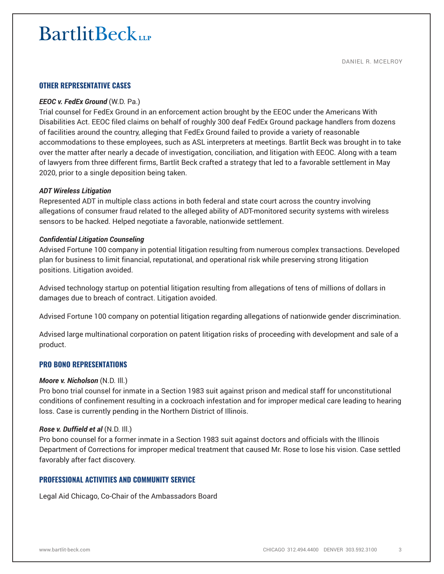# **BartlitBeck**

### **OTHER REPRESENTATIVE CASES**

### *EEOC v. FedEx Ground* (W.D. Pa.)

Trial counsel for FedEx Ground in an enforcement action brought by the EEOC under the Americans With Disabilities Act. EEOC filed claims on behalf of roughly 300 deaf FedEx Ground package handlers from dozens of facilities around the country, alleging that FedEx Ground failed to provide a variety of reasonable accommodations to these employees, such as ASL interpreters at meetings. Bartlit Beck was brought in to take over the matter after nearly a decade of investigation, conciliation, and litigation with EEOC. Along with a team of lawyers from three different firms, Bartlit Beck crafted a strategy that led to a favorable settlement in May 2020, prior to a single deposition being taken.

#### *ADT Wireless Litigation*

Represented ADT in multiple class actions in both federal and state court across the country involving allegations of consumer fraud related to the alleged ability of ADT-monitored security systems with wireless sensors to be hacked. Helped negotiate a favorable, nationwide settlement.

#### *Confidential Litigation Counseling*

Advised Fortune 100 company in potential litigation resulting from numerous complex transactions. Developed plan for business to limit financial, reputational, and operational risk while preserving strong litigation positions. Litigation avoided.

Advised technology startup on potential litigation resulting from allegations of tens of millions of dollars in damages due to breach of contract. Litigation avoided.

Advised Fortune 100 company on potential litigation regarding allegations of nationwide gender discrimination.

Advised large multinational corporation on patent litigation risks of proceeding with development and sale of a product.

### **PRO BONO REPRESENTATIONS**

#### *Moore v. Nicholson* (N.D. Ill.)

Pro bono trial counsel for inmate in a Section 1983 suit against prison and medical staff for unconstitutional conditions of confinement resulting in a cockroach infestation and for improper medical care leading to hearing loss. Case is currently pending in the Northern District of Illinois.

#### *Rose v. Duffield et al* (N.D. Ill.)

Pro bono counsel for a former inmate in a Section 1983 suit against doctors and officials with the Illinois Department of Corrections for improper medical treatment that caused Mr. Rose to lose his vision. Case settled favorably after fact discovery.

### **PROFESSIONAL ACTIVITIES AND COMMUNITY SERVICE**

Legal Aid Chicago, Co-Chair of the Ambassadors Board